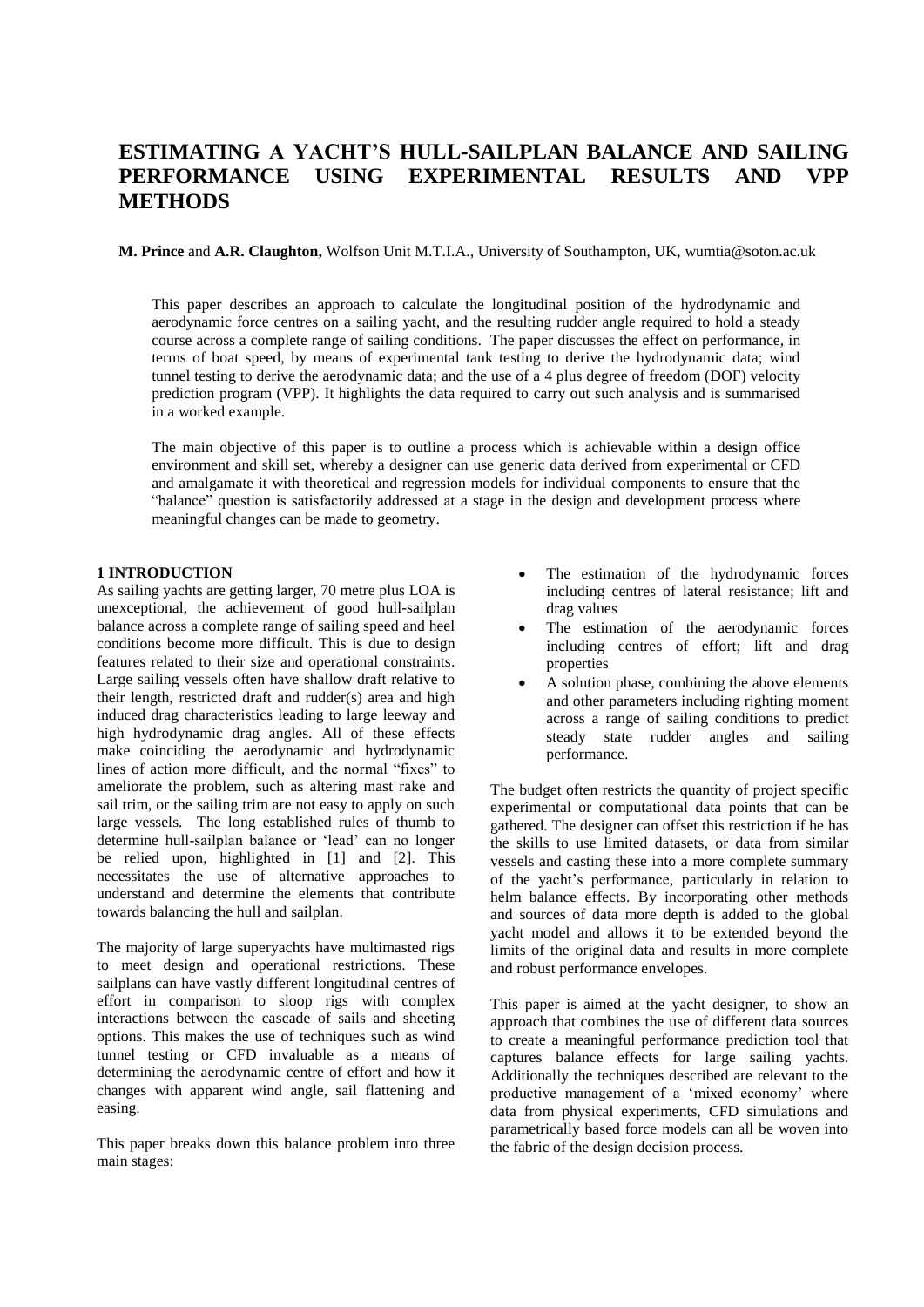# **ESTIMATING A YACHT'S HULL-SAILPLAN BALANCE AND SAILING PERFORMANCE USING EXPERIMENTAL RESULTS AND VPP METHODS**

**M. Prince** and **A.R. Claughton,** Wolfson Unit M.T.I.A., University of Southampton, UK, wumtia@soton.ac.uk

This paper describes an approach to calculate the longitudinal position of the hydrodynamic and aerodynamic force centres on a sailing yacht, and the resulting rudder angle required to hold a steady course across a complete range of sailing conditions. The paper discusses the effect on performance, in terms of boat speed, by means of experimental tank testing to derive the hydrodynamic data; wind tunnel testing to derive the aerodynamic data; and the use of a 4 plus degree of freedom (DOF) velocity prediction program (VPP). It highlights the data required to carry out such analysis and is summarised in a worked example.

The main objective of this paper is to outline a process which is achievable within a design office environment and skill set, whereby a designer can use generic data derived from experimental or CFD and amalgamate it with theoretical and regression models for individual components to ensure that the "balance" question is satisfactorily addressed at a stage in the design and development process where meaningful changes can be made to geometry.

## **1 INTRODUCTION**

As sailing yachts are getting larger, 70 metre plus LOA is unexceptional, the achievement of good hull-sailplan balance across a complete range of sailing speed and heel conditions become more difficult. This is due to design features related to their size and operational constraints. Large sailing vessels often have shallow draft relative to their length, restricted draft and rudder(s) area and high induced drag characteristics leading to large leeway and high hydrodynamic drag angles. All of these effects make coinciding the aerodynamic and hydrodynamic lines of action more difficult, and the normal "fixes" to ameliorate the problem, such as altering mast rake and sail trim, or the sailing trim are not easy to apply on such large vessels. The long established rules of thumb to determine hull-sailplan balance or 'lead' can no longer be relied upon, highlighted in [1] and [2]. This necessitates the use of alternative approaches to understand and determine the elements that contribute towards balancing the hull and sailplan.

The majority of large superyachts have multimasted rigs to meet design and operational restrictions. These sailplans can have vastly different longitudinal centres of effort in comparison to sloop rigs with complex interactions between the cascade of sails and sheeting options. This makes the use of techniques such as wind tunnel testing or CFD invaluable as a means of determining the aerodynamic centre of effort and how it changes with apparent wind angle, sail flattening and easing.

This paper breaks down this balance problem into three main stages:

- The estimation of the hydrodynamic forces including centres of lateral resistance; lift and drag values
- The estimation of the aerodynamic forces including centres of effort; lift and drag properties
- A solution phase, combining the above elements and other parameters including righting moment across a range of sailing conditions to predict steady state rudder angles and sailing performance.

The budget often restricts the quantity of project specific experimental or computational data points that can be gathered. The designer can offset this restriction if he has the skills to use limited datasets, or data from similar vessels and casting these into a more complete summary of the yacht's performance, particularly in relation to helm balance effects. By incorporating other methods and sources of data more depth is added to the global yacht model and allows it to be extended beyond the limits of the original data and results in more complete and robust performance envelopes.

This paper is aimed at the yacht designer, to show an approach that combines the use of different data sources to create a meaningful performance prediction tool that captures balance effects for large sailing yachts. Additionally the techniques described are relevant to the productive management of a 'mixed economy' where data from physical experiments, CFD simulations and parametrically based force models can all be woven into the fabric of the design decision process.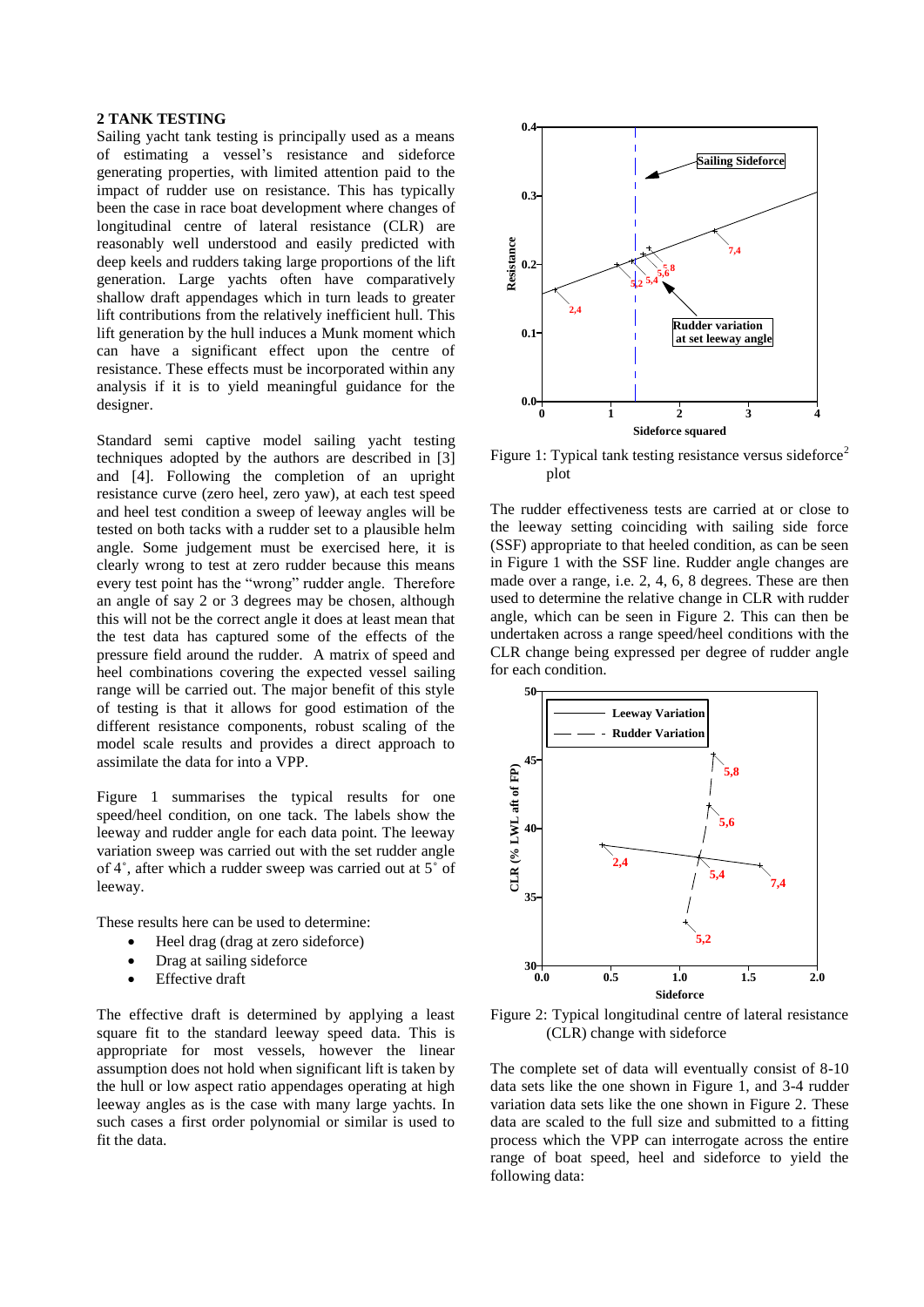#### **2 TANK TESTING**

Sailing yacht tank testing is principally used as a means of estimating a vessel's resistance and sideforce generating properties, with limited attention paid to the impact of rudder use on resistance. This has typically been the case in race boat development where changes of longitudinal centre of lateral resistance (CLR) are reasonably well understood and easily predicted with deep keels and rudders taking large proportions of the lift generation. Large yachts often have comparatively shallow draft appendages which in turn leads to greater lift contributions from the relatively inefficient hull. This lift generation by the hull induces a Munk moment which can have a significant effect upon the centre of resistance. These effects must be incorporated within any analysis if it is to yield meaningful guidance for the designer.

Standard semi captive model sailing yacht testing techniques adopted by the authors are described in [3] and [4]. Following the completion of an upright resistance curve (zero heel, zero yaw), at each test speed and heel test condition a sweep of leeway angles will be tested on both tacks with a rudder set to a plausible helm angle. Some judgement must be exercised here, it is clearly wrong to test at zero rudder because this means every test point has the "wrong" rudder angle. Therefore an angle of say 2 or 3 degrees may be chosen, although this will not be the correct angle it does at least mean that the test data has captured some of the effects of the pressure field around the rudder. A matrix of speed and heel combinations covering the expected vessel sailing range will be carried out. The major benefit of this style of testing is that it allows for good estimation of the different resistance components, robust scaling of the model scale results and provides a direct approach to assimilate the data for into a VPP.

Figure 1 summarises the typical results for one speed/heel condition, on one tack. The labels show the leeway and rudder angle for each data point. The leeway variation sweep was carried out with the set rudder angle of 4˚, after which a rudder sweep was carried out at 5˚ of leeway.

These results here can be used to determine:

- Heel drag (drag at zero sideforce)
- Drag at sailing sideforce
- Effective draft

The effective draft is determined by applying a least square fit to the standard leeway speed data. This is appropriate for most vessels, however the linear assumption does not hold when significant lift is taken by the hull or low aspect ratio appendages operating at high leeway angles as is the case with many large yachts. In such cases a first order polynomial or similar is used to fit the data.



Figure 1: Typical tank testing resistance versus sideforce<sup>2</sup> plot

The rudder effectiveness tests are carried at or close to **0.2 5,8 5,6** the leeway setting coinciding with sailing side force **45 5,8** (SSF) appropriate to that heeled condition, as can be seen **2,4** in Figure 1 with the SSF line. Rudder angle changes are made over a range, i.e. 2, 4, 6, 8 degrees. These are then **5,6** and to determine the relative change in CLR with rudder angle, which can be seen in Figure 2. This can then be undertaken across a range speed/heel conditions with the **5,4 0.0** CLR change being expressed per degree of rudder angle **35** for each condition. ange being expressed per degree of rudder a **CRA**<br>
Figure<br>
Explore expect with the BBI line. Rudder digit **5,4 5,2** re<br>Personali<br>Personali



Figure 2: Typical longitudinal centre of lateral resistance (CLR) change with sideforce

The complete set of data will eventually consist of 8-10 data sets like the one shown in Figure 1, and 3-4 rudder variation data sets like the one shown in Figure 2. These data are scaled to the full size and submitted to a fitting process which the VPP can interrogate across the entire range of boat speed, heel and sideforce to yield the following data: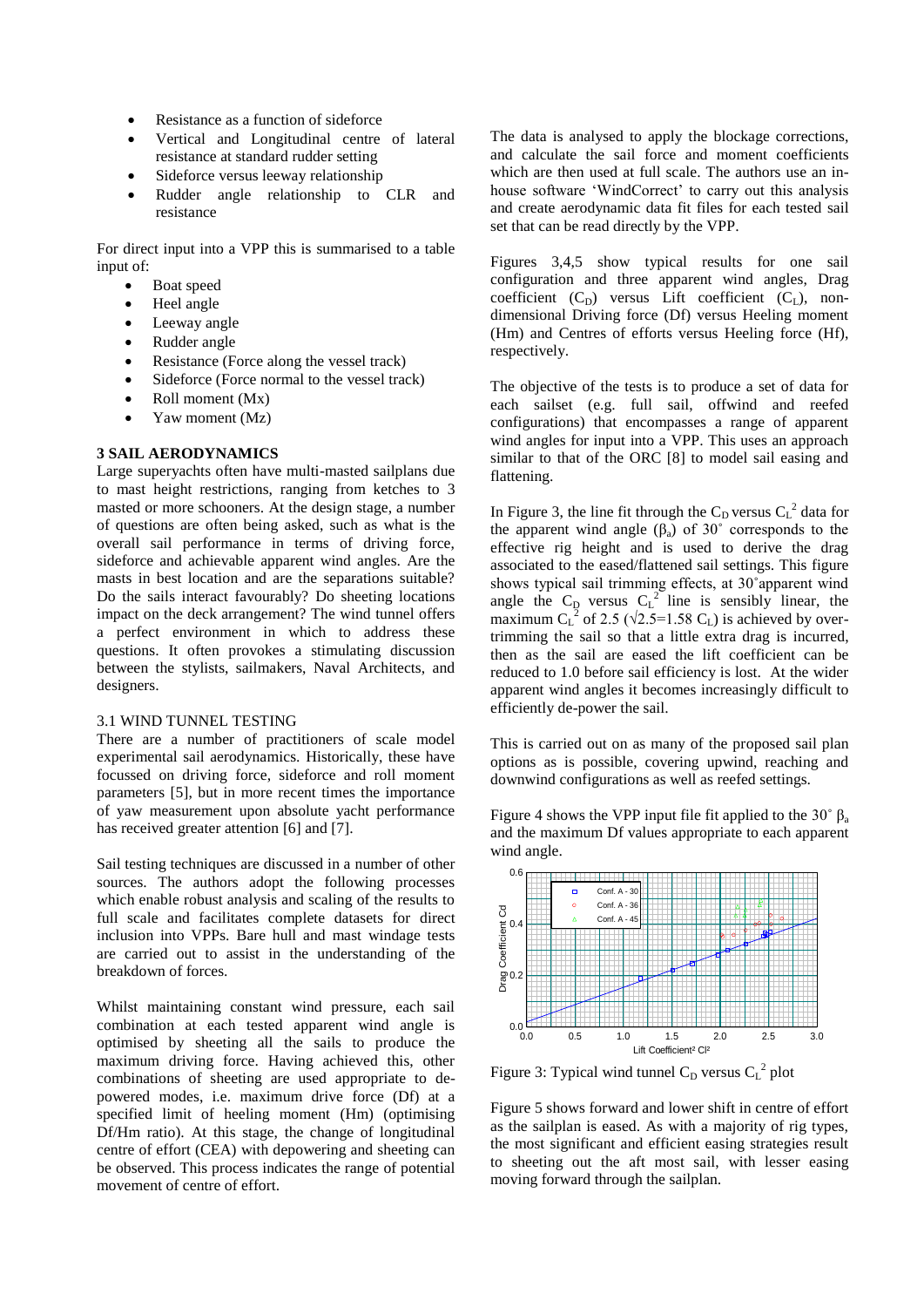- Resistance as a function of sideforce
- Vertical and Longitudinal centre of lateral resistance at standard rudder setting
- Sideforce versus leeway relationship
- Rudder angle relationship to CLR and resistance

For direct input into a VPP this is summarised to a table input of:

- Boat speed
- Heel angle
- Leeway angle
- Rudder angle
- Resistance (Force along the vessel track)
- Sideforce (Force normal to the vessel track)
- Roll moment (Mx)
- Yaw moment (Mz)

#### **3 SAIL AERODYNAMICS**

Large superyachts often have multi-masted sailplans due to mast height restrictions, ranging from ketches to 3 masted or more schooners. At the design stage, a number of questions are often being asked, such as what is the overall sail performance in terms of driving force, sideforce and achievable apparent wind angles. Are the masts in best location and are the separations suitable? Do the sails interact favourably? Do sheeting locations impact on the deck arrangement? The wind tunnel offers a perfect environment in which to address these questions. It often provokes a stimulating discussion between the stylists, sailmakers, Naval Architects, and designers.

## 3.1 WIND TUNNEL TESTING

There are a number of practitioners of scale model experimental sail aerodynamics. Historically, these have focussed on driving force, sideforce and roll moment parameters [5], but in more recent times the importance of yaw measurement upon absolute yacht performance has received greater attention [6] and [7].

Sail testing techniques are discussed in a number of other sources. The authors adopt the following processes which enable robust analysis and scaling of the results to full scale and facilitates complete datasets for direct inclusion into VPPs. Bare hull and mast windage tests are carried out to assist in the understanding of the breakdown of forces.

Whilst maintaining constant wind pressure, each sail combination at each tested apparent wind angle is optimised by sheeting all the sails to produce the maximum driving force. Having achieved this, other combinations of sheeting are used appropriate to depowered modes, i.e. maximum drive force (Df) at a specified limit of heeling moment (Hm) (optimising Df/Hm ratio). At this stage, the change of longitudinal centre of effort (CEA) with depowering and sheeting can be observed. This process indicates the range of potential movement of centre of effort.

The data is analysed to apply the blockage corrections, and calculate the sail force and moment coefficients which are then used at full scale. The authors use an inhouse software 'WindCorrect' to carry out this analysis and create aerodynamic data fit files for each tested sail set that can be read directly by the VPP.

Figures 3,4,5 show typical results for one sail configuration and three apparent wind angles, Drag coefficient  $(C_D)$  versus Lift coefficient  $(C_L)$ , nondimensional Driving force (Df) versus Heeling moment (Hm) and Centres of efforts versus Heeling force (Hf), respectively.

The objective of the tests is to produce a set of data for each sailset (e.g. full sail, offwind and reefed configurations) that encompasses a range of apparent wind angles for input into a VPP. This uses an approach similar to that of the ORC [8] to model sail easing and flattening.

In Figure 3, the line fit through the  $C_D$  versus  $C_L^2$  data for the apparent wind angle  $(\beta_a)$  of 30° corresponds to the effective rig height and is used to derive the drag associated to the eased/flattened sail settings. This figure shows typical sail trimming effects, at 30˚apparent wind angle the  $C_D$  versus  $C_L^2$  line is sensibly linear, the maximum C<sub>L</sub><sup>2</sup> of 2.5 ( $\sqrt{2.5}$ =1.58 C<sub>L</sub>) is achieved by overtrimming the sail so that a little extra drag is incurred, then as the sail are eased the lift coefficient can be reduced to 1.0 before sail efficiency is lost. At the wider apparent wind angles it becomes increasingly difficult to efficiently de-power the sail.

This is carried out on as many of the proposed sail plan options as is possible, covering upwind, reaching and downwind configurations as well as reefed settings.

Figure 4 shows the VPP input file fit applied to the 30 $^{\circ}$   $\beta$ <sub>a</sub> and the maximum Df values appropriate to each apparent wind angle.



Figure 3: Typical wind tunnel  $C_D$  versus  $C_L^2$  plot

Figure 5 shows forward and lower shift in centre of effort as the sailplan is eased. As with a majority of rig types, the most significant and efficient easing strategies result to sheeting out the aft most sail, with lesser easing moving forward through the sailplan.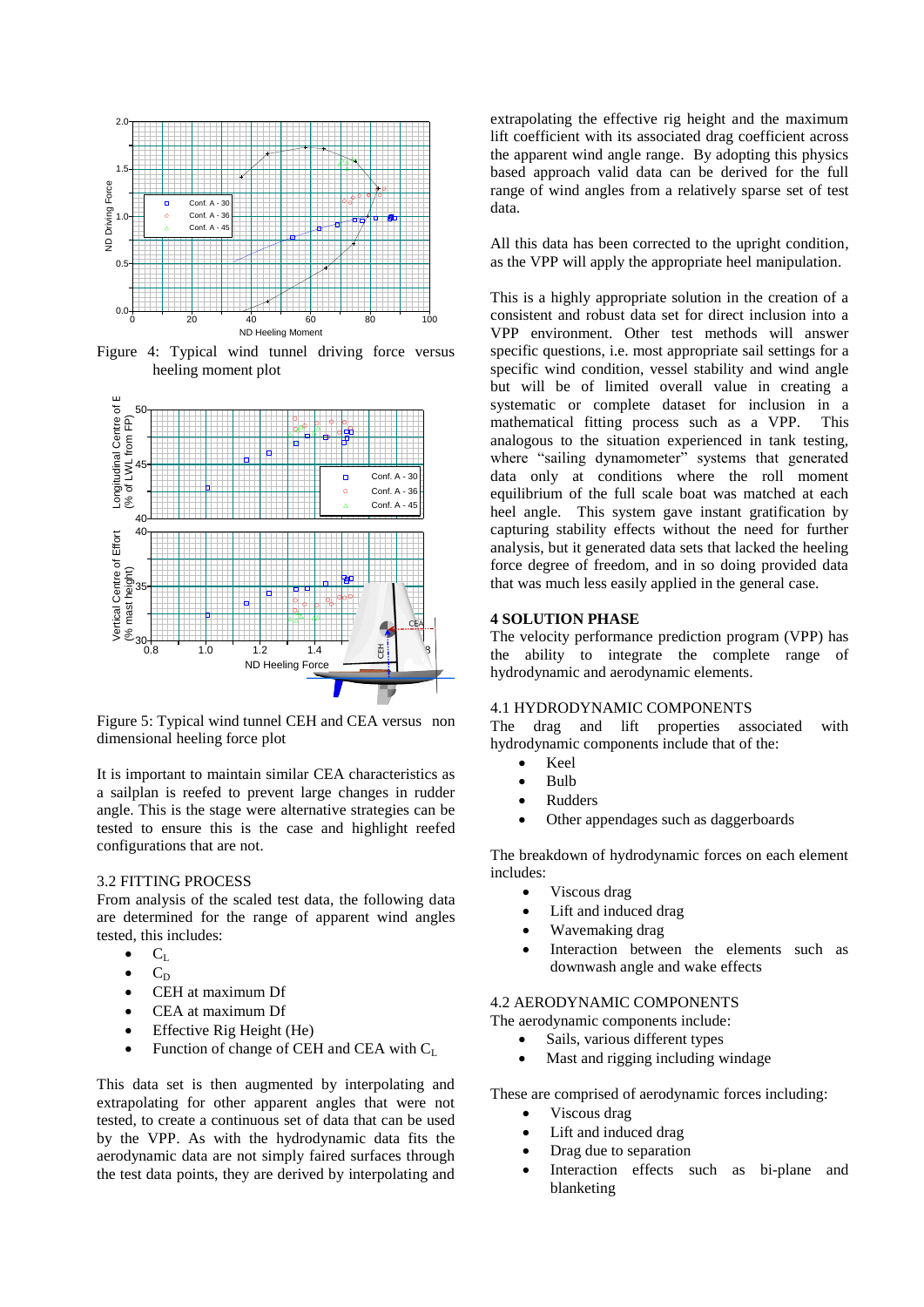

Figure 4: Typical wind tunnel driving force versus heeling moment plot



Figure 5: Typical wind tunnel CEH and CEA versus non dimensional heeling force plot

It is important to maintain similar CEA characteristics as a sailplan is reefed to prevent large changes in rudder angle. This is the stage were alternative strategies can be tested to ensure this is the case and highlight reefed configurations that are not.

#### 3.2 FITTING PROCESS

From analysis of the scaled test data, the following data are determined for the range of apparent wind angles tested, this includes:

- $C_{L}$
- $C_D$
- CEH at maximum Df
- CEA at maximum Df
- Effective Rig Height (He)
- Function of change of CEH and CEA with  $C_{L}$

This data set is then augmented by interpolating and extrapolating for other apparent angles that were not tested, to create a continuous set of data that can be used by the VPP. As with the hydrodynamic data fits the aerodynamic data are not simply faired surfaces through the test data points, they are derived by interpolating and extrapolating the effective rig height and the maximum lift coefficient with its associated drag coefficient across the apparent wind angle range. By adopting this physics based approach valid data can be derived for the full range of wind angles from a relatively sparse set of test data.

All this data has been corrected to the upright condition, as the VPP will apply the appropriate heel manipulation.

This is a highly appropriate solution in the creation of a consistent and robust data set for direct inclusion into a VPP environment. Other test methods will answer specific questions, i.e. most appropriate sail settings for a specific wind condition, vessel stability and wind angle but will be of limited overall value in creating a systematic or complete dataset for inclusion in a mathematical fitting process such as a VPP. This analogous to the situation experienced in tank testing, where "sailing dynamometer" systems that generated data only at conditions where the roll moment equilibrium of the full scale boat was matched at each heel angle. This system gave instant gratification by capturing stability effects without the need for further analysis, but it generated data sets that lacked the heeling force degree of freedom, and in so doing provided data that was much less easily applied in the general case.

### **4 SOLUTION PHASE**

The velocity performance prediction program (VPP) has the ability to integrate the complete range of hydrodynamic and aerodynamic elements.

#### 4.1 HYDRODYNAMIC COMPONENTS

The drag and lift properties associated with hydrodynamic components include that of the:

- Keel
- Bulb
- Rudders
- Other appendages such as daggerboards

The breakdown of hydrodynamic forces on each element includes:

- Viscous drag
- Lift and induced drag
- Wavemaking drag
- Interaction between the elements such as downwash angle and wake effects

#### 4.2 AERODYNAMIC COMPONENTS

The aerodynamic components include:

- Sails, various different types
- Mast and rigging including windage

These are comprised of aerodynamic forces including:

- Viscous drag
- Lift and induced drag
- Drag due to separation
- Interaction effects such as bi-plane and blanketing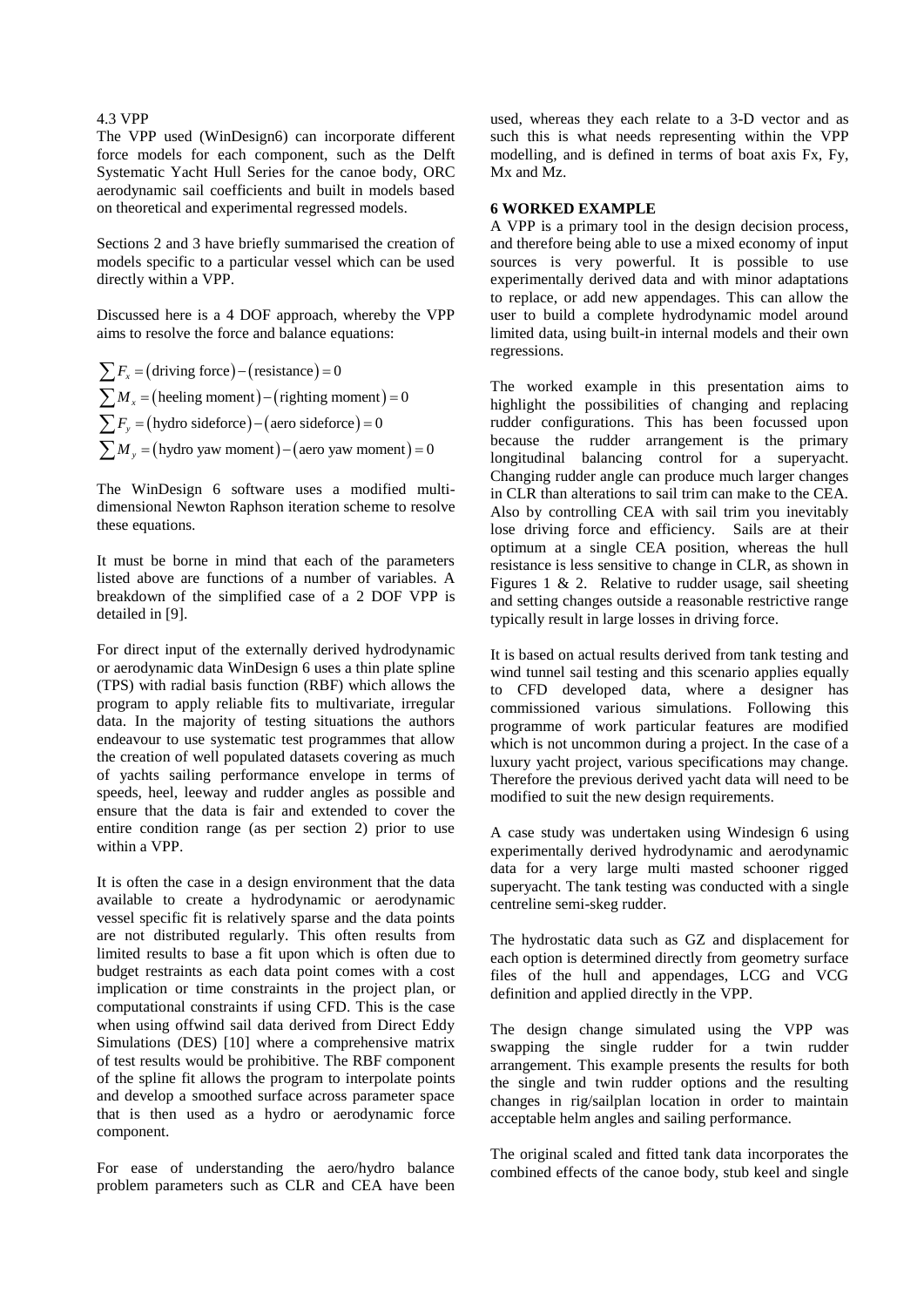#### 4.3 VPP

The VPP used (WinDesign6) can incorporate different force models for each component, such as the Delft Systematic Yacht Hull Series for the canoe body, ORC aerodynamic sail coefficients and built in models based on theoretical and experimental regressed models.

Sections 2 and 3 have briefly summarised the creation of models specific to a particular vessel which can be used directly within a VPP.

Discussed here is a 4 DOF approach, whereby the VPP

aims to resolve the force and balance equations:

\n
$$
\sum F_x = (\text{driving force}) - (\text{resistance}) = 0
$$
\n
$$
\sum M_x = (\text{heeling moment}) - (\text{righting moment}) = 0
$$
\n
$$
\sum F_y = (\text{hydro sideforce}) - (\text{aero sideforce}) = 0
$$
\n
$$
\sum M_y = (\text{hydro yaw moment}) - (\text{aero yaw moment}) = 0
$$

The WinDesign 6 software uses a modified multidimensional Newton Raphson iteration scheme to resolve these equations.

It must be borne in mind that each of the parameters listed above are functions of a number of variables. A breakdown of the simplified case of a 2 DOF VPP is detailed in [9].

For direct input of the externally derived hydrodynamic or aerodynamic data WinDesign 6 uses a thin plate spline (TPS) with radial basis function (RBF) which allows the program to apply reliable fits to multivariate, irregular data. In the majority of testing situations the authors endeavour to use systematic test programmes that allow the creation of well populated datasets covering as much of yachts sailing performance envelope in terms of speeds, heel, leeway and rudder angles as possible and ensure that the data is fair and extended to cover the entire condition range (as per section 2) prior to use within a VPP.

It is often the case in a design environment that the data available to create a hydrodynamic or aerodynamic vessel specific fit is relatively sparse and the data points are not distributed regularly. This often results from limited results to base a fit upon which is often due to budget restraints as each data point comes with a cost implication or time constraints in the project plan, or computational constraints if using CFD. This is the case when using offwind sail data derived from Direct Eddy Simulations (DES) [10] where a comprehensive matrix of test results would be prohibitive. The RBF component of the spline fit allows the program to interpolate points and develop a smoothed surface across parameter space that is then used as a hydro or aerodynamic force component.

For ease of understanding the aero/hydro balance problem parameters such as CLR and CEA have been used, whereas they each relate to a 3-D vector and as such this is what needs representing within the VPP modelling, and is defined in terms of boat axis Fx, Fy, Mx and Mz.

#### **6 WORKED EXAMPLE**

A VPP is a primary tool in the design decision process, and therefore being able to use a mixed economy of input sources is very powerful. It is possible to use experimentally derived data and with minor adaptations to replace, or add new appendages. This can allow the user to build a complete hydrodynamic model around limited data, using built-in internal models and their own regressions.

The worked example in this presentation aims to highlight the possibilities of changing and replacing rudder configurations. This has been focussed upon because the rudder arrangement is the primary longitudinal balancing control for a superyacht. Changing rudder angle can produce much larger changes in CLR than alterations to sail trim can make to the CEA. Also by controlling CEA with sail trim you inevitably lose driving force and efficiency. Sails are at their optimum at a single CEA position, whereas the hull resistance is less sensitive to change in CLR, as shown in Figures 1  $\&$  2. Relative to rudder usage, sail sheeting and setting changes outside a reasonable restrictive range typically result in large losses in driving force.

It is based on actual results derived from tank testing and wind tunnel sail testing and this scenario applies equally to CFD developed data, where a designer has commissioned various simulations. Following this programme of work particular features are modified which is not uncommon during a project. In the case of a luxury yacht project, various specifications may change. Therefore the previous derived yacht data will need to be modified to suit the new design requirements.

A case study was undertaken using Windesign 6 using experimentally derived hydrodynamic and aerodynamic data for a very large multi masted schooner rigged superyacht. The tank testing was conducted with a single centreline semi-skeg rudder.

The hydrostatic data such as GZ and displacement for each option is determined directly from geometry surface files of the hull and appendages, LCG and VCG definition and applied directly in the VPP.

The design change simulated using the VPP was swapping the single rudder for a twin rudder arrangement. This example presents the results for both the single and twin rudder options and the resulting changes in rig/sailplan location in order to maintain acceptable helm angles and sailing performance.

The original scaled and fitted tank data incorporates the combined effects of the canoe body, stub keel and single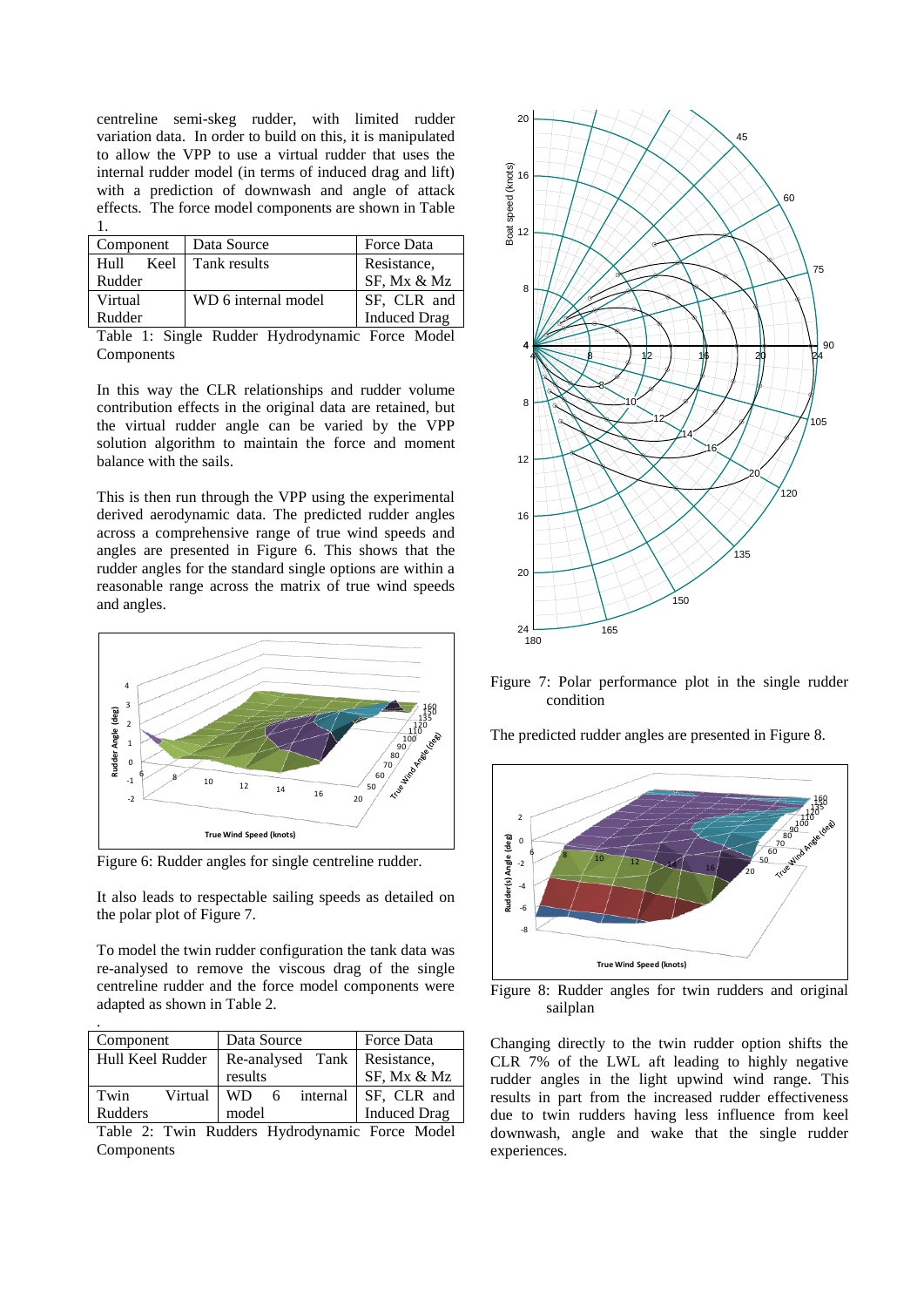centreline semi-skeg rudder, with limited rudder variation data. In order to build on this, it is manipulated to allow the VPP to use a virtual rudder that uses the internal rudder model (in terms of induced drag and lift) with a prediction of downwash and angle of attack effects. The force model components are shown in Table 1.

| Component    | Data Source         | Force Data          |  |  |
|--------------|---------------------|---------------------|--|--|
| Hull<br>Keel | Tank results        | Resistance,         |  |  |
| Rudder       |                     | SF, Mx & Mz         |  |  |
| Virtual      | WD 6 internal model | SF, CLR and         |  |  |
| Rudder       |                     | <b>Induced Drag</b> |  |  |
| $-1$<br>____ |                     |                     |  |  |

Table 1: Single Rudder Hydrodynamic Force Model Components

In this way the CLR relationships and rudder volume contribution effects in the original data are retained, but the virtual rudder angle can be varied by the VPP solution algorithm to maintain the force and moment balance with the sails.

This is then run through the VPP using the experimental derived aerodynamic data. The predicted rudder angles across a comprehensive range of true wind speeds and angles are presented in Figure 6. This shows that the rudder angles for the standard single options are within a reasonable range across the matrix of true wind speeds and angles.



Figure 6: Rudder angles for single centreline rudder.

It also leads to respectable sailing speeds as detailed on the polar plot of Figure 7.

To model the twin rudder configuration the tank data was re-analysed to remove the viscous drag of the single centreline rudder and the force model components were adapted as shown in Table 2.

| Component        |         | Data Source      |  |               | Force Data          |  |
|------------------|---------|------------------|--|---------------|---------------------|--|
| Hull Keel Rudder |         | Re-analysed Tank |  |               | Resistance,         |  |
|                  | results |                  |  | SF, Mx & Mz   |                     |  |
| Twin             | Virtual |                  |  | WD 6 internal | SF, CLR and         |  |
| Rudders          |         | model            |  |               | <b>Induced Drag</b> |  |

Table 2: Twin Rudders Hydrodynamic Force Model Components



Figure 7: Polar performance plot in the single rudder condition

The predicted rudder angles are presented in Figure 8.



Figure 8: Rudder angles for twin rudders and original sailplan

Changing directly to the twin rudder option shifts the CLR 7% of the LWL aft leading to highly negative rudder angles in the light upwind wind range. This results in part from the increased rudder effectiveness due to twin rudders having less influence from keel downwash, angle and wake that the single rudder experiences.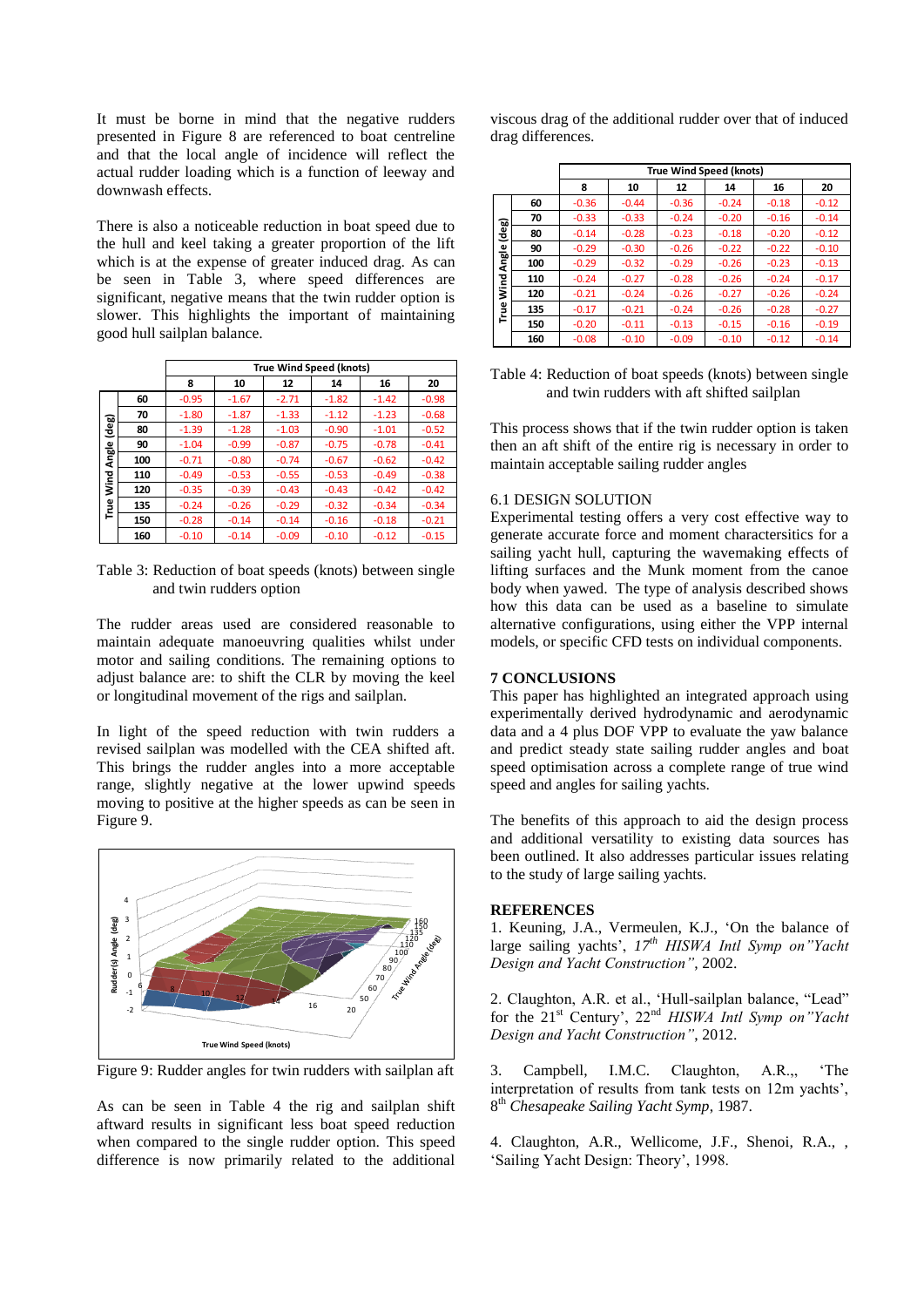It must be borne in mind that the negative rudders presented in Figure 8 are referenced to boat centreline and that the local angle of incidence will reflect the actual rudder loading which is a function of leeway and downwash effects.

There is also a noticeable reduction in boat speed due to the hull and keel taking a greater proportion of the lift which is at the expense of greater induced drag. As can be seen in Table 3, where speed differences are significant, negative means that the twin rudder option is slower. This highlights the important of maintaining good hull sailplan balance.

|                              |     | <b>True Wind Speed (knots)</b> |         |         |         |         |         |
|------------------------------|-----|--------------------------------|---------|---------|---------|---------|---------|
|                              |     | 8                              | 10      | 12      | 14      | 16      | 20      |
| (deg)<br>Angle<br>Wind.<br>Ĕ | 60  | $-0.95$                        | $-1.67$ | $-2.71$ | $-1.82$ | $-1.42$ | $-0.98$ |
|                              | 70  | $-1.80$                        | $-1.87$ | $-1.33$ | $-1.12$ | $-1.23$ | $-0.68$ |
|                              | 80  | $-1.39$                        | $-1.28$ | $-1.03$ | $-0.90$ | $-1.01$ | $-0.52$ |
|                              | 90  | $-1.04$                        | $-0.99$ | $-0.87$ | $-0.75$ | $-0.78$ | $-0.41$ |
|                              | 100 | $-0.71$                        | $-0.80$ | $-0.74$ | $-0.67$ | $-0.62$ | $-0.42$ |
|                              | 110 | $-0.49$                        | $-0.53$ | $-0.55$ | $-0.53$ | $-0.49$ | $-0.38$ |
|                              | 120 | $-0.35$                        | $-0.39$ | $-0.43$ | $-0.43$ | $-0.42$ | $-0.42$ |
|                              | 135 | $-0.24$                        | $-0.26$ | $-0.29$ | $-0.32$ | $-0.34$ | $-0.34$ |
|                              | 150 | $-0.28$                        | $-0.14$ | $-0.14$ | $-0.16$ | $-0.18$ | $-0.21$ |
|                              | 160 | $-0.10$                        | $-0.14$ | $-0.09$ | $-0.10$ | $-0.12$ | $-0.15$ |

Table 3: Reduction of boat speeds (knots) between single and twin rudders option

The rudder areas used are considered reasonable to maintain adequate manoeuvring qualities whilst under motor and sailing conditions. The remaining options to adjust balance are: to shift the CLR by moving the keel or longitudinal movement of the rigs and sailplan.

In light of the speed reduction with twin rudders a revised sailplan was modelled with the CEA shifted aft. This brings the rudder angles into a more acceptable range, slightly negative at the lower upwind speeds moving to positive at the higher speeds as can be seen in Figure 9.



Figure 9: Rudder angles for twin rudders with sailplan aft

As can be seen in Table 4 the rig and sailplan shift aftward results in significant less boat speed reduction when compared to the single rudder option. This speed difference is now primarily related to the additional viscous drag of the additional rudder over that of induced drag differences.

|                             |     | True Wind Speed (knots) |         |         |         |         |         |  |
|-----------------------------|-----|-------------------------|---------|---------|---------|---------|---------|--|
|                             |     | 8                       | 10      | 12      | 14      | 16      | 20      |  |
| (deg)<br>Angle<br>Wind<br>Ĕ | 60  | $-0.36$                 | $-0.44$ | $-0.36$ | $-0.24$ | $-0.18$ | $-0.12$ |  |
|                             | 70  | $-0.33$                 | $-0.33$ | $-0.24$ | $-0.20$ | $-0.16$ | $-0.14$ |  |
|                             | 80  | $-0.14$                 | $-0.28$ | $-0.23$ | $-0.18$ | $-0.20$ | $-0.12$ |  |
|                             | 90  | $-0.29$                 | $-0.30$ | $-0.26$ | $-0.22$ | $-0.22$ | $-0.10$ |  |
|                             | 100 | $-0.29$                 | $-0.32$ | $-0.29$ | $-0.26$ | $-0.23$ | $-0.13$ |  |
|                             | 110 | $-0.24$                 | $-0.27$ | $-0.28$ | $-0.26$ | $-0.24$ | $-0.17$ |  |
|                             | 120 | $-0.21$                 | $-0.24$ | $-0.26$ | $-0.27$ | $-0.26$ | $-0.24$ |  |
|                             | 135 | $-0.17$                 | $-0.21$ | $-0.24$ | $-0.26$ | $-0.28$ | $-0.27$ |  |
|                             | 150 | $-0.20$                 | $-0.11$ | $-0.13$ | $-0.15$ | $-0.16$ | $-0.19$ |  |
|                             | 160 | $-0.08$                 | $-0.10$ | $-0.09$ | $-0.10$ | $-0.12$ | $-0.14$ |  |

Table 4: Reduction of boat speeds (knots) between single and twin rudders with aft shifted sailplan

This process shows that if the twin rudder option is taken then an aft shift of the entire rig is necessary in order to maintain acceptable sailing rudder angles

#### 6.1 DESIGN SOLUTION

Experimental testing offers a very cost effective way to generate accurate force and moment charactersitics for a sailing yacht hull, capturing the wavemaking effects of lifting surfaces and the Munk moment from the canoe body when yawed. The type of analysis described shows how this data can be used as a baseline to simulate alternative configurations, using either the VPP internal models, or specific CFD tests on individual components.

#### **7 CONCLUSIONS**

This paper has highlighted an integrated approach using experimentally derived hydrodynamic and aerodynamic data and a 4 plus DOF VPP to evaluate the yaw balance and predict steady state sailing rudder angles and boat speed optimisation across a complete range of true wind speed and angles for sailing yachts.

The benefits of this approach to aid the design process and additional versatility to existing data sources has been outlined. It also addresses particular issues relating to the study of large sailing yachts.

### **REFERENCES**

1. Keuning, J.A., Vermeulen, K.J., 'On the balance of large sailing yachts', *17th HISWA Intl Symp on"Yacht Design and Yacht Construction"*, 2002.

2. Claughton, A.R. et al., 'Hull-sailplan balance, "Lead" for the 21st Century', 22nd *HISWA Intl Symp on"Yacht Design and Yacht Construction"*, 2012.

3. Campbell, I.M.C. Claughton, A.R.,, 'The interpretation of results from tank tests on 12m yachts', 8 th *Chesapeake Sailing Yacht Symp*, 1987.

4. Claughton, A.R., Wellicome, J.F., Shenoi, R.A., , 'Sailing Yacht Design: Theory', 1998.